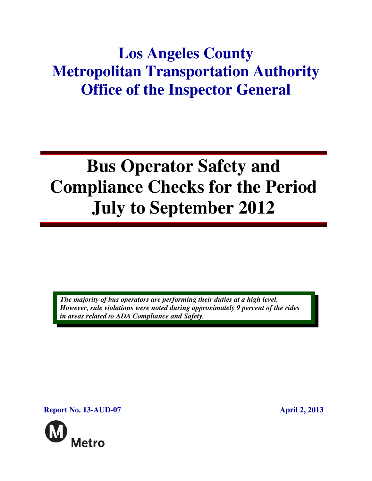## **Los Angeles County Metropolitan Transportation Authority Office of the Inspector General**

# **Bus Operator Safety and Compliance Checks for the Period July to September 2012**

*The majority of bus operators are performing their duties at a high level. However, rule violations were noted during approximately 9 percent of the rides in areas related to ADA Compliance and Safety.* 

**Report No. 13-AUD-07 April 2, 2013** 

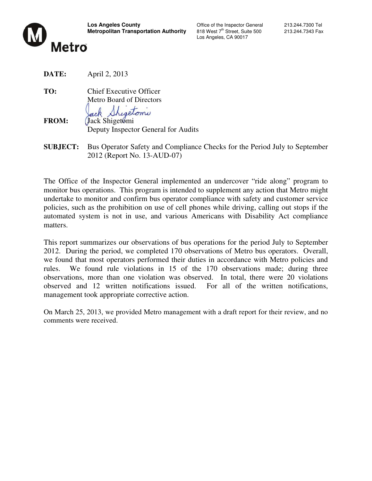

Los Angeles, CA 90017

**DATE:** April 2, 2013

**TO:** Chief Executive Officer Metro Board of Directors

Shigetoni

**FROM:** *(Jack Shigetomi)* Deputy Inspector General for Audits

**SUBJECT:** Bus Operator Safety and Compliance Checks for the Period July to September 2012 (Report No. 13-AUD-07)

The Office of the Inspector General implemented an undercover "ride along" program to monitor bus operations. This program is intended to supplement any action that Metro might undertake to monitor and confirm bus operator compliance with safety and customer service policies, such as the prohibition on use of cell phones while driving, calling out stops if the automated system is not in use, and various Americans with Disability Act compliance matters.

This report summarizes our observations of bus operations for the period July to September 2012. During the period, we completed 170 observations of Metro bus operators. Overall, we found that most operators performed their duties in accordance with Metro policies and rules. We found rule violations in 15 of the 170 observations made; during three observations, more than one violation was observed. In total, there were 20 violations observed and 12 written notifications issued. For all of the written notifications, management took appropriate corrective action.

On March 25, 2013, we provided Metro management with a draft report for their review, and no comments were received.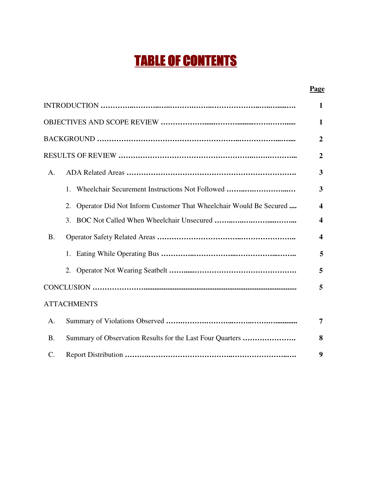## TABLE OF CONTENTS

#### **Page**

|                 |                                                                         | 1                       |
|-----------------|-------------------------------------------------------------------------|-------------------------|
|                 |                                                                         | $\mathbf{1}$            |
|                 |                                                                         | $\overline{2}$          |
|                 |                                                                         | $\overline{2}$          |
| A.              |                                                                         | 3                       |
|                 | Wheelchair Securement Instructions Not Followed<br>1.                   | $\overline{\mathbf{3}}$ |
|                 | 2.<br>Operator Did Not Inform Customer That Wheelchair Would Be Secured | $\overline{\mathbf{4}}$ |
|                 | 3.                                                                      | $\overline{\mathbf{4}}$ |
| <b>B.</b>       |                                                                         | $\overline{\mathbf{4}}$ |
|                 |                                                                         | 5                       |
|                 | 2.                                                                      | 5                       |
|                 |                                                                         | 5                       |
|                 | <b>ATTACHMENTS</b>                                                      |                         |
| A.              |                                                                         | 7                       |
| <b>B.</b>       | Summary of Observation Results for the Last Four Quarters               | 8                       |
| $\mathcal{C}$ . |                                                                         | 9                       |
|                 |                                                                         |                         |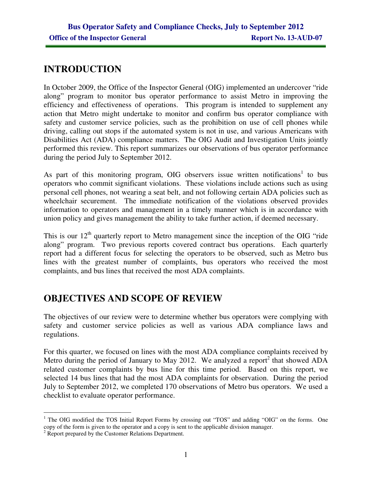## **INTRODUCTION**

In October 2009, the Office of the Inspector General (OIG) implemented an undercover "ride along" program to monitor bus operator performance to assist Metro in improving the efficiency and effectiveness of operations. This program is intended to supplement any action that Metro might undertake to monitor and confirm bus operator compliance with safety and customer service policies, such as the prohibition on use of cell phones while driving, calling out stops if the automated system is not in use, and various Americans with Disabilities Act (ADA) compliance matters. The OIG Audit and Investigation Units jointly performed this review. This report summarizes our observations of bus operator performance during the period July to September 2012.

As part of this monitoring program, OIG observers issue written notifications<sup>1</sup> to bus operators who commit significant violations. These violations include actions such as using personal cell phones, not wearing a seat belt, and not following certain ADA policies such as wheelchair securement. The immediate notification of the violations observed provides information to operators and management in a timely manner which is in accordance with union policy and gives management the ability to take further action, if deemed necessary.

This is our 12<sup>th</sup> quarterly report to Metro management since the inception of the OIG "ride" along" program. Two previous reports covered contract bus operations. Each quarterly report had a different focus for selecting the operators to be observed, such as Metro bus lines with the greatest number of complaints, bus operators who received the most complaints, and bus lines that received the most ADA complaints.

## **OBJECTIVES AND SCOPE OF REVIEW**

The objectives of our review were to determine whether bus operators were complying with safety and customer service policies as well as various ADA compliance laws and regulations.

For this quarter, we focused on lines with the most ADA compliance complaints received by Metro during the period of January to May 2012. We analyzed a report<sup>2</sup> that showed ADA related customer complaints by bus line for this time period. Based on this report, we selected 14 bus lines that had the most ADA complaints for observation. During the period July to September 2012, we completed 170 observations of Metro bus operators. We used a checklist to evaluate operator performance.

 $\overline{a}$ <sup>1</sup> The OIG modified the TOS Initial Report Forms by crossing out "TOS" and adding "OIG" on the forms. One copy of the form is given to the operator and a copy is sent to the applicable division manager.

<sup>&</sup>lt;sup>2</sup> Report prepared by the Customer Relations Department.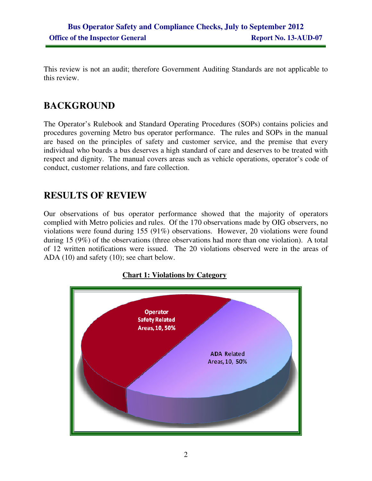This review is not an audit; therefore Government Auditing Standards are not applicable to this review.

## **BACKGROUND**

The Operator's Rulebook and Standard Operating Procedures (SOPs) contains policies and procedures governing Metro bus operator performance. The rules and SOPs in the manual are based on the principles of safety and customer service, and the premise that every individual who boards a bus deserves a high standard of care and deserves to be treated with respect and dignity. The manual covers areas such as vehicle operations, operator's code of conduct, customer relations, and fare collection.

## **RESULTS OF REVIEW**

Our observations of bus operator performance showed that the majority of operators complied with Metro policies and rules. Of the 170 observations made by OIG observers, no violations were found during 155 (91%) observations. However, 20 violations were found during 15 (9%) of the observations (three observations had more than one violation). A total of 12 written notifications were issued. The 20 violations observed were in the areas of ADA (10) and safety (10); see chart below.

#### **Chart 1: Violations by Category**

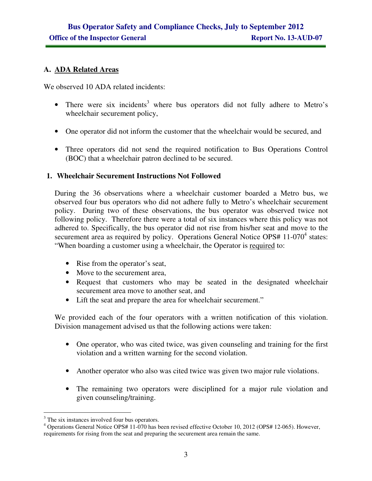#### **A. ADA Related Areas**

We observed 10 ADA related incidents:

- There were six incidents<sup>3</sup> where bus operators did not fully adhere to Metro's wheelchair securement policy,
- One operator did not inform the customer that the wheelchair would be secured, and
- Three operators did not send the required notification to Bus Operations Control (BOC) that a wheelchair patron declined to be secured.

#### **1. Wheelchair Securement Instructions Not Followed**

During the 36 observations where a wheelchair customer boarded a Metro bus, we observed four bus operators who did not adhere fully to Metro's wheelchair securement policy. During two of these observations, the bus operator was observed twice not following policy. Therefore there were a total of six instances where this policy was not adhered to. Specifically, the bus operator did not rise from his/her seat and move to the securement area as required by policy. Operations General Notice OPS#  $11$ -070 $^4$  states: "When boarding a customer using a wheelchair, the Operator is required to:

- Rise from the operator's seat,
- Move to the securement area,
- Request that customers who may be seated in the designated wheelchair securement area move to another seat, and
- Lift the seat and prepare the area for wheelchair securement."

We provided each of the four operators with a written notification of this violation. Division management advised us that the following actions were taken:

- One operator, who was cited twice, was given counseling and training for the first violation and a written warning for the second violation.
- Another operator who also was cited twice was given two major rule violations.
- The remaining two operators were disciplined for a major rule violation and given counseling/training.

<sup>&</sup>lt;sup>3</sup> The six instances involved four bus operators.

<sup>&</sup>lt;sup>4</sup> Operations General Notice OPS# 11-070 has been revised effective October 10, 2012 (OPS# 12-065). However, requirements for rising from the seat and preparing the securement area remain the same.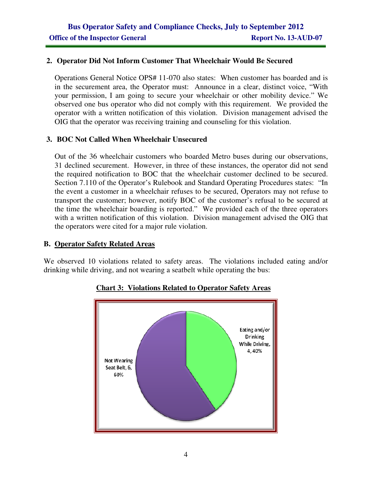#### **2. Operator Did Not Inform Customer That Wheelchair Would Be Secured**

Operations General Notice OPS# 11-070 also states: When customer has boarded and is in the securement area, the Operator must: Announce in a clear, distinct voice, "With your permission, I am going to secure your wheelchair or other mobility device." We observed one bus operator who did not comply with this requirement. We provided the operator with a written notification of this violation. Division management advised the OIG that the operator was receiving training and counseling for this violation.

#### **3. BOC Not Called When Wheelchair Unsecured**

Out of the 36 wheelchair customers who boarded Metro buses during our observations, 31 declined securement. However, in three of these instances, the operator did not send the required notification to BOC that the wheelchair customer declined to be secured. Section 7.110 of the Operator's Rulebook and Standard Operating Procedures states: "In the event a customer in a wheelchair refuses to be secured, Operators may not refuse to transport the customer; however, notify BOC of the customer's refusal to be secured at the time the wheelchair boarding is reported." We provided each of the three operators with a written notification of this violation. Division management advised the OIG that the operators were cited for a major rule violation.

#### **B. Operator Safety Related Areas**

We observed 10 violations related to safety areas. The violations included eating and/or drinking while driving, and not wearing a seatbelt while operating the bus:



**Chart 3: Violations Related to Operator Safety Areas**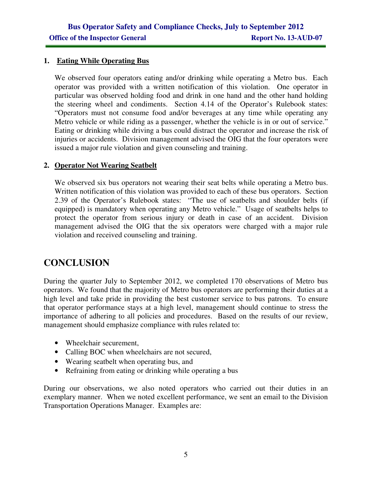#### **1. Eating While Operating Bus**

We observed four operators eating and/or drinking while operating a Metro bus. Each operator was provided with a written notification of this violation. One operator in particular was observed holding food and drink in one hand and the other hand holding the steering wheel and condiments. Section 4.14 of the Operator's Rulebook states: "Operators must not consume food and/or beverages at any time while operating any Metro vehicle or while riding as a passenger, whether the vehicle is in or out of service." Eating or drinking while driving a bus could distract the operator and increase the risk of injuries or accidents. Division management advised the OIG that the four operators were issued a major rule violation and given counseling and training.

#### **2. Operator Not Wearing Seatbelt**

We observed six bus operators not wearing their seat belts while operating a Metro bus. Written notification of this violation was provided to each of these bus operators. Section 2.39 of the Operator's Rulebook states: "The use of seatbelts and shoulder belts (if equipped) is mandatory when operating any Metro vehicle." Usage of seatbelts helps to protect the operator from serious injury or death in case of an accident. Division management advised the OIG that the six operators were charged with a major rule violation and received counseling and training.

## **CONCLUSION**

During the quarter July to September 2012, we completed 170 observations of Metro bus operators. We found that the majority of Metro bus operators are performing their duties at a high level and take pride in providing the best customer service to bus patrons. To ensure that operator performance stays at a high level, management should continue to stress the importance of adhering to all policies and procedures. Based on the results of our review, management should emphasize compliance with rules related to:

- Wheelchair securement,
- Calling BOC when wheelchairs are not secured,
- Wearing seatbelt when operating bus, and
- Refraining from eating or drinking while operating a bus

During our observations, we also noted operators who carried out their duties in an exemplary manner. When we noted excellent performance, we sent an email to the Division Transportation Operations Manager. Examples are: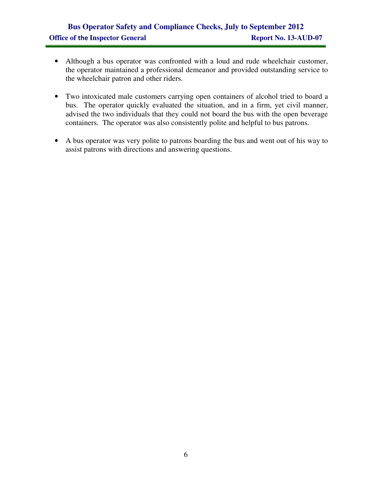### **Bus Operator Safety and Compliance Checks, July to September 2012 Office of the Inspector General Report No. 13-AUD-07**

- Although a bus operator was confronted with a loud and rude wheelchair customer, the operator maintained a professional demeanor and provided outstanding service to the wheelchair patron and other riders.
- Two intoxicated male customers carrying open containers of alcohol tried to board a bus. The operator quickly evaluated the situation, and in a firm, yet civil manner, advised the two individuals that they could not board the bus with the open beverage containers. The operator was also consistently polite and helpful to bus patrons.
- A bus operator was very polite to patrons boarding the bus and went out of his way to assist patrons with directions and answering questions.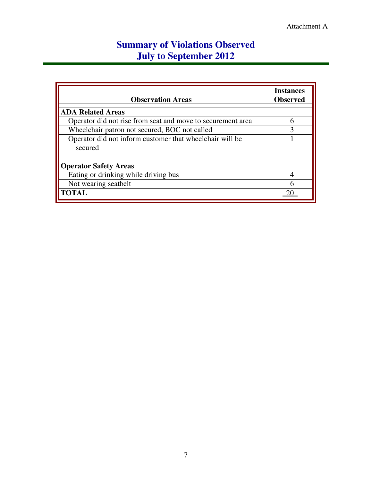## **Summary of Violations Observed July to September 2012**

| <b>Observation Areas</b>                                    | <b>Instances</b><br><b>Observed</b> |  |  |  |  |  |  |
|-------------------------------------------------------------|-------------------------------------|--|--|--|--|--|--|
| <b>ADA Related Areas</b>                                    |                                     |  |  |  |  |  |  |
| Operator did not rise from seat and move to securement area | 6                                   |  |  |  |  |  |  |
| Wheelchair patron not secured, BOC not called               |                                     |  |  |  |  |  |  |
| Operator did not inform customer that wheelchair will be    |                                     |  |  |  |  |  |  |
| secured                                                     |                                     |  |  |  |  |  |  |
|                                                             |                                     |  |  |  |  |  |  |
| <b>Operator Safety Areas</b>                                |                                     |  |  |  |  |  |  |
| Eating or drinking while driving bus                        |                                     |  |  |  |  |  |  |
| Not wearing seatbelt                                        |                                     |  |  |  |  |  |  |
| <b>TOTAL</b>                                                |                                     |  |  |  |  |  |  |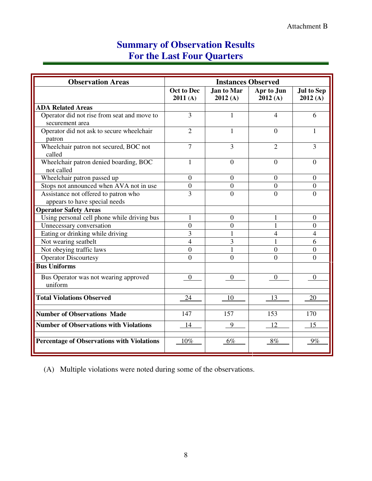## **Summary of Observation Results For the Last Four Quarters**

| <b>Observation Areas</b>                                       | <b>Instances Observed</b> |                              |                       |                              |  |
|----------------------------------------------------------------|---------------------------|------------------------------|-----------------------|------------------------------|--|
|                                                                | Oct to Dec<br>2011(A)     | <b>Jan to Mar</b><br>2012(A) | Apr to Jun<br>2012(A) | <b>Jul to Sep</b><br>2012(A) |  |
| <b>ADA Related Areas</b>                                       |                           |                              |                       |                              |  |
| Operator did not rise from seat and move to<br>securement area | 3                         | 1                            | $\overline{4}$        | 6                            |  |
| Operator did not ask to secure wheelchair<br>patron            | $\overline{2}$            | 1                            | $\Omega$              | 1                            |  |
| Wheelchair patron not secured, BOC not<br>called               | $\overline{7}$            | 3                            | $\overline{2}$        | 3                            |  |
| Wheelchair patron denied boarding, BOC<br>not called           | 1                         | $\overline{0}$               | $\overline{0}$        | $\Omega$                     |  |
| Wheelchair patron passed up                                    | $\overline{0}$            | $\overline{0}$               | $\overline{0}$        | $\Omega$                     |  |
| Stops not announced when AVA not in use                        | $\overline{0}$            | $\mathbf{0}$                 | $\boldsymbol{0}$      | $\mathbf{0}$                 |  |
| Assistance not offered to patron who                           | $\overline{3}$            | $\overline{0}$               | $\theta$              | $\theta$                     |  |
| appears to have special needs                                  |                           |                              |                       |                              |  |
| <b>Operator Safety Areas</b>                                   |                           |                              |                       |                              |  |
| Using personal cell phone while driving bus                    | 1                         | $\overline{0}$               | 1                     | $\Omega$                     |  |
| Unnecessary conversation                                       | $\overline{0}$            | $\theta$                     | 1                     | $\theta$                     |  |
| Eating or drinking while driving                               | 3                         | 1                            | 4                     | 4                            |  |
| Not wearing seatbelt                                           | $\overline{4}$            | $\overline{3}$               | 1                     | 6                            |  |
| Not obeying traffic laws                                       | $\overline{0}$            | 1                            | $\overline{0}$        | $\overline{0}$               |  |
| <b>Operator Discourtesy</b>                                    | $\theta$                  | $\theta$                     | $\theta$              | $\theta$                     |  |
| <b>Bus Uniforms</b>                                            |                           |                              |                       |                              |  |
| Bus Operator was not wearing approved<br>uniform               | $\boldsymbol{0}$          | $\boldsymbol{0}$             | $\overline{0}$        | $\overline{0}$               |  |
| <b>Total Violations Observed</b>                               | 24                        | 10                           | 13                    | 20                           |  |
| <b>Number of Observations Made</b>                             | 147                       | 157                          | 153                   | 170                          |  |
| <b>Number of Observations with Violations</b>                  | 14                        | 9                            | 12                    | 15                           |  |
| <b>Percentage of Observations with Violations</b>              | 10%                       | $6\%$                        | 8%                    | $9\%$                        |  |

(A) Multiple violations were noted during some of the observations.